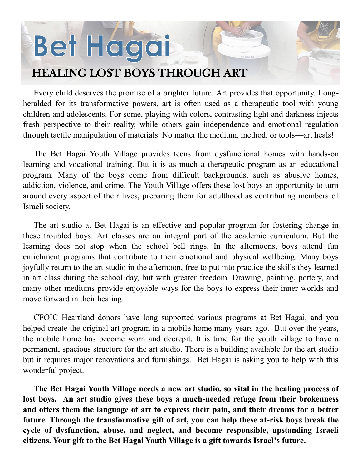## Bet Hagai

## HEALING LOST BOYS THROUGH ART

Every child deserves the promise of a brighter future. Art provides that opportunity. Longheralded for its transformative powers, art is often used as a therapeutic tool with young children and adolescents. For some, playing with colors, contrasting light and darkness injects fresh perspective to their reality, while others gain independence and emotional regulation through tactile manipulation of materials. No matter the medium, method, or tools—art heals!

The Bet Hagai Youth Village provides teens from dysfunctional homes with hands-on learning and vocational training. But it is as much a therapeutic program as an educational program. Many of the boys come from difficult backgrounds, such as abusive homes, addiction, violence, and crime. The Youth Village offers these lost boys an opportunity to turn around every aspect of their lives, preparing them for adulthood as contributing members of Israeli society.

The art studio at Bet Hagai is an effective and popular program for fostering change in these troubled boys. Art classes are an integral part of the academic curriculum. But the learning does not stop when the school bell rings. In the afternoons, boys attend fun enrichment programs that contribute to their emotional and physical wellbeing. Many boys joyfully return to the art studio in the afternoon, free to put into practice the skills they learned in art class during the school day, but with greater freedom. Drawing, painting, pottery, and many other mediums provide enjoyable ways for the boys to express their inner worlds and move forward in their healing.

CFOIC Heartland donors have long supported various programs at Bet Hagai, and you helped create the original art program in a mobile home many years ago. But over the years, the mobile home has become worn and decrepit. It is time for the youth village to have a permanent, spacious structure for the art studio. There is a building available for the art studio but it requires major renovations and furnishings. Bet Hagai is asking you to help with this wonderful project.

**The Bet Hagai Youth Village needs a new art studio, so vital in the healing process of lost boys. An art studio gives these boys a much-needed refuge from their brokenness and offers them the language of art to express their pain, and their dreams for a better future. Through the transformative gift of art, you can help these at-risk boys break the cycle of dysfunction, abuse, and neglect, and become responsible, upstanding Israeli citizens. Your gift to the Bet Hagai Youth Village is a gift towards Israel's future.**